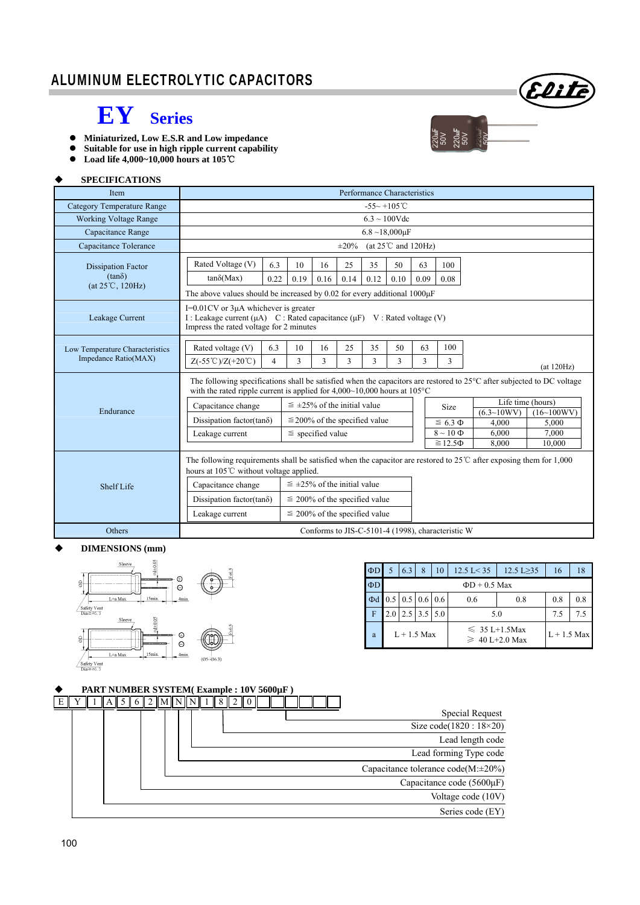### ALUMINUM ELECTROLYTIC CAPACITORS



 $\frac{220 \text{mF}}{50 \text{V}}$ <br>50V<br>50V<br>50V<br>50V

## **EY Series**

- **Miniaturized, Low E.S.R and Low impedance**
- **Suitable for use in high ripple current capability**
- **Load life 4,000~10,000 hours at 105**℃

#### **SPECIFICATIONS**

| <b>Item</b>                                                             | Performance Characteristics                                                                                                                                                                            |                                                                                                                                                                                                                                                                   |                                      |                       |            |                                    |            |            |                                                   |                    |                                 |  |  |
|-------------------------------------------------------------------------|--------------------------------------------------------------------------------------------------------------------------------------------------------------------------------------------------------|-------------------------------------------------------------------------------------------------------------------------------------------------------------------------------------------------------------------------------------------------------------------|--------------------------------------|-----------------------|------------|------------------------------------|------------|------------|---------------------------------------------------|--------------------|---------------------------------|--|--|
| <b>Category Temperature Range</b>                                       |                                                                                                                                                                                                        | $-55 - +105$ °C                                                                                                                                                                                                                                                   |                                      |                       |            |                                    |            |            |                                                   |                    |                                 |  |  |
| <b>Working Voltage Range</b>                                            | $6.3 \sim 100$ Vdc                                                                                                                                                                                     |                                                                                                                                                                                                                                                                   |                                      |                       |            |                                    |            |            |                                                   |                    |                                 |  |  |
| Capacitance Range                                                       | $6.8 \sim 18,000 \mu F$                                                                                                                                                                                |                                                                                                                                                                                                                                                                   |                                      |                       |            |                                    |            |            |                                                   |                    |                                 |  |  |
| Capacitance Tolerance                                                   | (at $25^{\circ}$ C and $120$ Hz)<br>$\pm 20\%$                                                                                                                                                         |                                                                                                                                                                                                                                                                   |                                      |                       |            |                                    |            |            |                                                   |                    |                                 |  |  |
| <b>Dissipation Factor</b><br>$(tan\delta)$<br>$(at 25^{\circ}C, 120Hz)$ | Rated Voltage (V)<br>$tan\delta(Max)$                                                                                                                                                                  | 6.3<br>0.22                                                                                                                                                                                                                                                       | 10<br>0.19                           | 16<br>0.16            | 25<br>0.14 | 35<br>0.12                         | 50<br>0.10 | 63<br>0.09 | 100<br>0.08                                       |                    |                                 |  |  |
| Leakage Current                                                         |                                                                                                                                                                                                        | The above values should be increased by 0.02 for every additional $1000\mu$ F<br>$I=0.01$ CV or $3\mu A$ whichever is greater<br>I : Leakage current ( $\mu$ A) C : Rated capacitance ( $\mu$ F) V : Rated voltage (V)<br>Impress the rated voltage for 2 minutes |                                      |                       |            |                                    |            |            |                                                   |                    |                                 |  |  |
| Low Temperature Characteristics<br>Impedance Ratio(MAX)                 | Rated voltage (V)<br>$Z(-55^{\circ}\text{C})/Z(+20^{\circ}\text{C})$                                                                                                                                   | 6.3<br>$\overline{4}$                                                                                                                                                                                                                                             | 10<br>3                              | 16<br>3               | 25<br>3    | 35<br>3                            | 50<br>3    | 63<br>3    | 100<br>3                                          |                    | (at 120Hz)                      |  |  |
|                                                                         | The following specifications shall be satisfied when the capacitors are restored to 25°C after subjected to DC voltage<br>with the rated ripple current is applied for $4,000~10,000$ hours at $105°C$ |                                                                                                                                                                                                                                                                   |                                      |                       |            |                                    |            |            |                                                   |                    |                                 |  |  |
| Endurance                                                               | Capacitance change                                                                                                                                                                                     |                                                                                                                                                                                                                                                                   | $\leq \pm 25\%$ of the initial value |                       |            |                                    |            |            | Size                                              | $(6.3 \sim 10 WV)$ | Life time (hours)<br>(16~100WV) |  |  |
|                                                                         | Dissipation factor(tan $\delta$ )                                                                                                                                                                      |                                                                                                                                                                                                                                                                   |                                      |                       |            | $\leq$ 200% of the specified value |            |            | $\leq 6.3 \Phi$                                   | 4,000              | 5.000                           |  |  |
|                                                                         | Leakage current                                                                                                                                                                                        |                                                                                                                                                                                                                                                                   |                                      | $\le$ specified value |            |                                    |            |            | $8 \sim 10 \Phi$                                  | 6.000              | 7.000                           |  |  |
|                                                                         | 8,000<br>$\geq 12.5\Phi$<br>10,000                                                                                                                                                                     |                                                                                                                                                                                                                                                                   |                                      |                       |            |                                    |            |            |                                                   |                    |                                 |  |  |
|                                                                         | The following requirements shall be satisfied when the capacitor are restored to $25^{\circ}$ C after exposing them for 1,000<br>hours at 105℃ without voltage applied.                                |                                                                                                                                                                                                                                                                   |                                      |                       |            |                                    |            |            |                                                   |                    |                                 |  |  |
| Shelf Life                                                              | Capacitance change                                                                                                                                                                                     |                                                                                                                                                                                                                                                                   | $\leq$ ±25% of the initial value     |                       |            |                                    |            |            |                                                   |                    |                                 |  |  |
|                                                                         | Dissipation factor(tan $\delta$ )                                                                                                                                                                      |                                                                                                                                                                                                                                                                   |                                      |                       |            | $\leq$ 200% of the specified value |            |            |                                                   |                    |                                 |  |  |
|                                                                         | Leakage current                                                                                                                                                                                        |                                                                                                                                                                                                                                                                   |                                      |                       |            | $\leq$ 200% of the specified value |            |            |                                                   |                    |                                 |  |  |
| Others                                                                  |                                                                                                                                                                                                        |                                                                                                                                                                                                                                                                   |                                      |                       |            |                                    |            |            | Conforms to JIS-C-5101-4 (1998), characteristic W |                    |                                 |  |  |

#### **DIMENSIONS (mm)**



| $\Phi$ D |                    | 6.3 | 8                                     | 10  | $12.5 \text{ L} < 35$                     | $12.5$ L $\geq$ 35 | 16  | 18 |  |  |  |  |
|----------|--------------------|-----|---------------------------------------|-----|-------------------------------------------|--------------------|-----|----|--|--|--|--|
| $\Phi$ D | $\Phi$ D + 0.5 Max |     |                                       |     |                                           |                    |     |    |  |  |  |  |
| $\Phi$ d |                    |     | $0.5 \mid 0.5 \mid 0.6 \mid 0.6 \mid$ |     | 0.6                                       | 0.8                | 0.8 |    |  |  |  |  |
| F        |                    |     | $2.5$   3.5                           | 5.0 | 5.0                                       | 7.5                | 75  |    |  |  |  |  |
| a        | $L + 1.5$ Max      |     |                                       |     | $\leq 35$ L+1.5Max<br>$\geq 40$ L+2.0 Max | $L + 1.5$ Max      |     |    |  |  |  |  |

#### **PART NUMBER SYSTEM( Example : 10V 5600µF )**

|                                    |  |  | $Y$   1   A   5   6   2   M   N   N   1   8   2   0 |  |  |  | E |
|------------------------------------|--|--|-----------------------------------------------------|--|--|--|---|
| Special Request                    |  |  |                                                     |  |  |  |   |
| Size code $(1820:18\times20)$      |  |  |                                                     |  |  |  |   |
| Lead length code                   |  |  |                                                     |  |  |  |   |
| Lead forming Type code             |  |  |                                                     |  |  |  |   |
| Capacitance tolerance code(M:±20%) |  |  |                                                     |  |  |  |   |
| Capacitance code $(5600\mu F)$     |  |  |                                                     |  |  |  |   |
| Voltage code (10V)                 |  |  |                                                     |  |  |  |   |
| Series code (EY)                   |  |  |                                                     |  |  |  |   |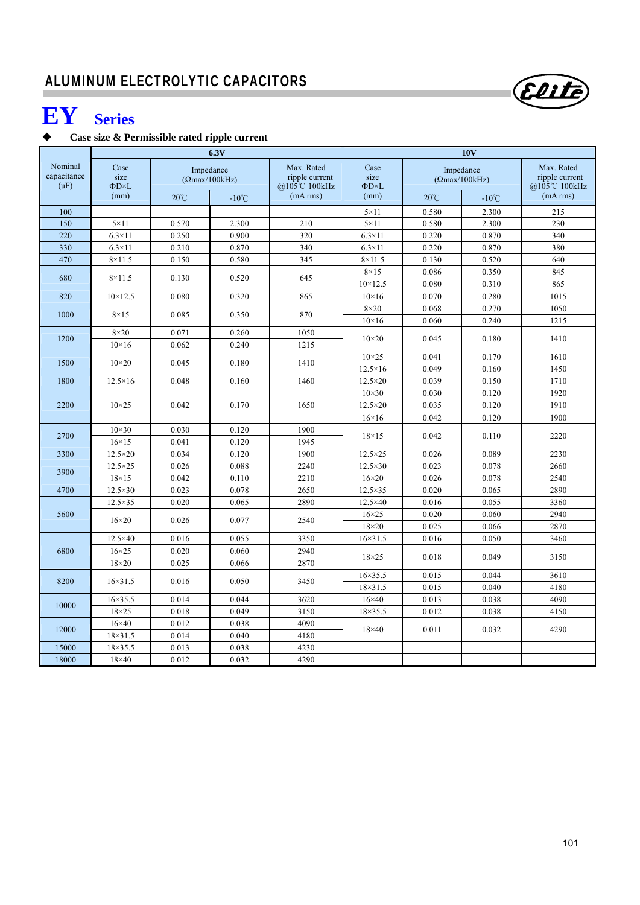# **EY Series**

### **Case size & Permissible rated ripple current**

|                                |                              |                | 6.3V                                                  |                                                          | 10V                            |                                                       |                 |                                                          |  |  |
|--------------------------------|------------------------------|----------------|-------------------------------------------------------|----------------------------------------------------------|--------------------------------|-------------------------------------------------------|-----------------|----------------------------------------------------------|--|--|
| Nominal<br>capacitance<br>(uF) | Case<br>size<br>ΦD×L<br>(mm) | $20^{\circ}$ C | Impedance<br>$(\Omega$ max/100kHz)<br>$-10^{\circ}$ C | Max. Rated<br>ripple current<br>@105℃ 100kHz<br>(mA rms) | Case<br>size<br>ΦD×L<br>(mm)   | Impedance<br>$( \Omega$ max/100kHz)<br>$20^{\circ}$ C | $-10^{\circ}$ C | Max. Rated<br>ripple current<br>@105℃ 100kHz<br>(mA rms) |  |  |
| 100                            |                              |                |                                                       |                                                          | $5 \times 11$                  | 0.580                                                 | 2.300           | 215                                                      |  |  |
| 150                            | $5 \times 11$                | 0.570          | 2.300                                                 | 210                                                      | $5 \times 11$                  | 0.580                                                 | 2.300           | 230                                                      |  |  |
| 220                            | $6.3\times11$                | 0.250          | 0.900                                                 | 320                                                      | $6.3\times11$                  | 0.220                                                 | 0.870           | 340                                                      |  |  |
| 330                            | $6.3\times11$                | 0.210          | 0.870                                                 | 340                                                      | $6.3\times11$                  | 0.220                                                 | 0.870           | 380                                                      |  |  |
| 470                            | $8\times11.5$                | 0.150          | 0.580                                                 | 345                                                      | $8\times11.5$                  | 0.130                                                 | 0.520           | 640                                                      |  |  |
|                                |                              |                |                                                       |                                                          | $8\times15$                    | 0.086                                                 | 0.350           | 845                                                      |  |  |
| 680                            | $8\times11.5$                | 0.130          | 0.520                                                 | 645                                                      | $10 \times 12.5$               | 0.080                                                 | 0.310           | 865                                                      |  |  |
| 820                            | $10 \times 12.5$             | 0.080          | 0.320                                                 | 865                                                      | $10\times16$                   | 0.070                                                 | 0.280           | 1015                                                     |  |  |
|                                |                              |                |                                                       |                                                          | $8\times20$                    | 0.068                                                 | 0.270           | 1050                                                     |  |  |
| 1000                           | $8\times15$                  | 0.085          | 0.350                                                 | 870                                                      | $10\times 16$                  | 0.060                                                 | 0.240           | 1215                                                     |  |  |
| 1200                           | $8\times20$                  | 0.071          | 0.260                                                 | 1050<br>1215                                             | $10\times20$                   | 0.045                                                 | 0.180           | 1410                                                     |  |  |
|                                | $10\times16$                 | 0.062          | 0.240                                                 |                                                          |                                |                                                       |                 |                                                          |  |  |
| 1500                           | $10\times 20$                | 0.045          | 0.180                                                 | 1410                                                     | $10\times25$<br>$12.5\times16$ | 0.041<br>0.049                                        | 0.170<br>0.160  | 1610<br>1450                                             |  |  |
| 1800                           | $12.5\times16$               | 0.048          | 0.160                                                 | 1460                                                     | $12.5 \times 20$               | 0.039                                                 | 0.150           | 1710                                                     |  |  |
|                                |                              |                |                                                       |                                                          | $10\times30$                   | 0.030                                                 | 0.120           | 1920                                                     |  |  |
| 2200                           | $10\times25$                 | 0.042          | 0.170                                                 | 1650                                                     | $12.5 \times 20$               | 0.035                                                 | 0.120           | 1910                                                     |  |  |
|                                |                              |                |                                                       |                                                          | $16\times16$                   | 0.042                                                 | 0.120           | 1900                                                     |  |  |
|                                | $10\times30$                 | 0.030          | 0.120                                                 | 1900                                                     |                                |                                                       |                 |                                                          |  |  |
| 2700                           | $16\times15$                 | 0.041          | 0.120                                                 | 1945                                                     | $18\times15$                   | 0.042                                                 | 0.110           | 2220                                                     |  |  |
| 3300                           | $12.5 \times 20$             | 0.034          | 0.120                                                 | 1900                                                     | $12.5 \times 25$               | 0.026                                                 | 0.089           | 2230                                                     |  |  |
|                                | $12.5 \times 25$             | 0.026          | 0.088                                                 | 2240                                                     | $12.5 \times 30$               | 0.023                                                 | 0.078           | 2660                                                     |  |  |
| 3900                           | $18\times15$                 | 0.042          | 0.110                                                 | 2210                                                     | $16\times20$                   | 0.026                                                 | 0.078           | 2540                                                     |  |  |
| 4700                           | $12.5 \times 30$             | 0.023          | 0.078                                                 | 2650                                                     | $12.5 \times 35$               | 0.020                                                 | 0.065           | 2890                                                     |  |  |
|                                | $12.5 \times 35$             | 0.020          | 0.065                                                 | 2890                                                     | $12.5 \times 40$               | 0.016                                                 | 0.055           | 3360                                                     |  |  |
| 5600                           |                              |                |                                                       |                                                          | $16\times25$                   | 0.020                                                 | 0.060           | 2940                                                     |  |  |
|                                | $16\times20$                 | 0.026          | 0.077                                                 | 2540                                                     | $18\times20$                   | 0.025                                                 | 0.066           | 2870                                                     |  |  |
|                                | $12.5 \times 40$             | 0.016          | 0.055                                                 | 3350                                                     | $16 \times 31.5$               | 0.016                                                 | 0.050           | 3460                                                     |  |  |
| 6800                           | $16\times25$                 | 0.020          | 0.060                                                 | 2940                                                     |                                |                                                       |                 |                                                          |  |  |
|                                | $18\times20$                 | 0.025          | 0.066                                                 | 2870                                                     | $18\times25$                   | 0.018                                                 | 0.049           | 3150                                                     |  |  |
| 8200                           | $16 \times 31.5$             | 0.016          | 0.050                                                 | 3450                                                     | $16 \times 35.5$               | 0.015                                                 | 0.044           | 3610                                                     |  |  |
|                                |                              |                |                                                       |                                                          | $18 \times 31.5$               | 0.015                                                 | 0.040           | 4180                                                     |  |  |
| 10000                          | $16 \times 35.5$             | 0.014          | 0.044                                                 | 3620                                                     | $16\times 40$                  | 0.013                                                 | 0.038           | 4090                                                     |  |  |
|                                | $18\times25$                 | 0.018          | 0.049                                                 | 3150                                                     | $18 \times 35.5$               | 0.012                                                 | 0.038           | 4150                                                     |  |  |
| 12000                          | $16\times 40$                | 0.012          | 0.038                                                 | 4090                                                     | $18\times 40$                  | 0.011                                                 | 0.032           |                                                          |  |  |
|                                | $18 \times 31.5$             | 0.014          | 0.040                                                 | 4180                                                     |                                |                                                       |                 | 4290                                                     |  |  |
| 15000                          | $18 \times 35.5$             | 0.013          | 0.038                                                 | 4230                                                     |                                |                                                       |                 |                                                          |  |  |
| 18000                          | $18\times40$                 | 0.012          | 0.032                                                 | 4290                                                     |                                |                                                       |                 |                                                          |  |  |

Elite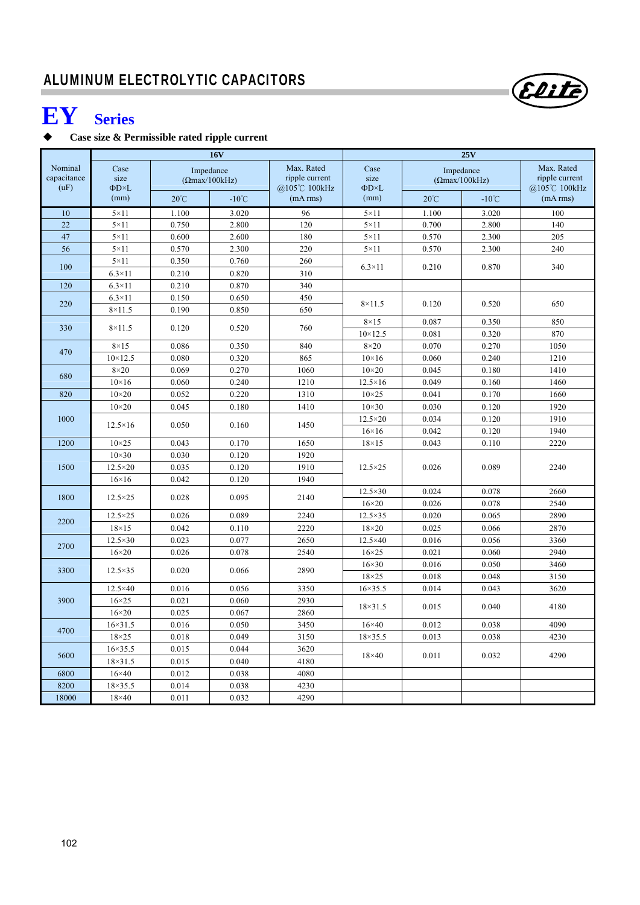# **EY Series**

### **Case size & Permissible rated ripple current**

|                                |                                           |                | <b>16V</b>                                            |                                                          | 25V                                |                |                                                       |                                                          |  |
|--------------------------------|-------------------------------------------|----------------|-------------------------------------------------------|----------------------------------------------------------|------------------------------------|----------------|-------------------------------------------------------|----------------------------------------------------------|--|
| Nominal<br>capacitance<br>(uF) | Case<br>size<br>$\Phi D \times L$<br>(mm) | $20^{\circ}$ C | Impedance<br>$(\Omega$ max/100kHz)<br>$-10^{\circ}$ C | Max. Rated<br>ripple current<br>@105℃ 100kHz<br>(mA rms) | Case<br>size<br>$\Phi$ D×L<br>(mm) | $20^{\circ}$ C | Impedance<br>$(\Omega$ max/100kHz)<br>$-10^{\circ}$ C | Max. Rated<br>ripple current<br>@105℃ 100kHz<br>(mA rms) |  |
| 10                             | $5 \times 11$                             | 1.100          | 3.020                                                 | 96                                                       | $5 \times 11$                      | 1.100          | 3.020                                                 | 100                                                      |  |
| 22                             | $5 \times 11$                             | 0.750          | 2.800                                                 | 120                                                      | $5 \times 11$                      | 0.700          | 2.800                                                 | 140                                                      |  |
| 47                             | $5 \times 11$                             | 0.600          | 2.600                                                 | 180                                                      | $5 \times 11$                      | 0.570          | 2.300                                                 | 205                                                      |  |
| 56                             | $5 \times 11$                             | 0.570          | 2.300                                                 | 220                                                      | $5 \times 11$                      | 0.570          | 2.300                                                 | 240                                                      |  |
| 100                            | $5 \times 11$                             | 0.350          | 0.760                                                 | 260                                                      | $6.3\times11$                      | 0.210          | 0.870                                                 | 340                                                      |  |
|                                | $6.3\times11$                             | 0.210          | 0.820                                                 | 310                                                      |                                    |                |                                                       |                                                          |  |
| 120                            | $6.3\times11$                             | 0.210          | 0.870                                                 | 340                                                      |                                    |                |                                                       |                                                          |  |
| 220                            | $6.3\times11$                             | 0.150          | 0.650                                                 | 450                                                      | $8\times11.5$                      | 0.120          | 0.520                                                 | 650                                                      |  |
|                                | $8\times11.5$                             | 0.190          | 0.850                                                 | 650                                                      |                                    |                |                                                       |                                                          |  |
| 330                            | $8\times11.5$                             | 0.120          | 0.520                                                 | 760                                                      | $8\times15$                        | 0.087          | 0.350                                                 | 850                                                      |  |
|                                |                                           |                |                                                       |                                                          | $10 \times 12.5$                   | 0.081          | 0.320                                                 | 870                                                      |  |
| 470                            | $8\times15$                               | 0.086          | 0.350                                                 | 840                                                      | $8\times20$                        | 0.070          | 0.270                                                 | 1050                                                     |  |
|                                | $10 \times 12.5$                          | 0.080          | 0.320                                                 | 865                                                      | $10\times16$                       | 0.060          | 0.240                                                 | 1210                                                     |  |
| 680                            | $8\times20$                               | 0.069          | 0.270                                                 | 1060                                                     | $10\times 20$                      | 0.045          | 0.180                                                 | 1410                                                     |  |
|                                | $10\times16$                              | 0.060          | 0.240                                                 | 1210                                                     | $12.5 \times 16$                   | 0.049          | 0.160                                                 | 1460                                                     |  |
| 820                            | $10\times20$                              | 0.052          | 0.220                                                 | 1310                                                     | $10\times25$                       | 0.041          | 0.170                                                 | 1660                                                     |  |
|                                | $10\times20$<br>0.050<br>$12.5\times16$   | 0.045          | 0.180                                                 | 1410<br>1450                                             | $10\times30$                       | 0.030          | 0.120                                                 | 1920                                                     |  |
| 1000                           |                                           |                | 0.160                                                 |                                                          | $12.5 \times 20$                   | 0.034          | 0.120                                                 | 1910                                                     |  |
|                                |                                           |                |                                                       |                                                          | $16\times16$                       | 0.042          | 0.120                                                 | 1940                                                     |  |
| 1200                           | $10\times25$                              | 0.043          | 0.170                                                 | 1650                                                     | $18\times15$                       | 0.043          | 0.110                                                 | 2220                                                     |  |
|                                | $10\times30$                              | 0.030          | 0.120                                                 | 1920                                                     |                                    |                |                                                       |                                                          |  |
| 1500                           | $12.5 \times 20$                          | 0.035          | 0.120                                                 | 1910                                                     | $12.5 \times 25$                   | 0.026          | 0.089                                                 | 2240                                                     |  |
|                                | $16\times16$                              | 0.042          | 0.120                                                 | 1940                                                     | $12.5 \times 30$                   | 0.024          | 0.078                                                 | 2660                                                     |  |
| 1800                           | $12.5 \times 25$                          | 0.028          | 0.095                                                 | 2140                                                     | $16\times20$                       | 0.026          | 0.078                                                 | 2540                                                     |  |
|                                | $12.5 \times 25$                          | 0.026          | 0.089                                                 | 2240                                                     | $12.5 \times 35$                   | 0.020          | 0.065                                                 | 2890                                                     |  |
| 2200                           | $18\times15$                              | 0.042          | 0.110                                                 | 2220                                                     | $18\times20$                       | 0.025          | 0.066                                                 | 2870                                                     |  |
|                                | 12.5×30                                   | 0.023          | 0.077                                                 | 2650                                                     | $12.5 \times 40$                   | 0.016          | 0.056                                                 | 3360                                                     |  |
| 2700                           | $16\times20$                              | 0.026          | 0.078                                                 | 2540                                                     | $16\times25$                       | 0.021          | 0.060                                                 | 2940                                                     |  |
|                                |                                           |                |                                                       |                                                          | $16\times30$                       | 0.016          | 0.050                                                 | 3460                                                     |  |
| 3300                           | $12.5 \times 35$                          | 0.020          | 0.066                                                 | 2890                                                     | $18\times25$                       | 0.018          | 0.048                                                 | 3150                                                     |  |
|                                | 12.5×40                                   | 0.016          | 0.056                                                 | 3350                                                     | $16 \times 35.5$                   | 0.014          | 0.043                                                 | 3620                                                     |  |
| 3900                           | $16\times25$                              | 0.021          | 0.060                                                 | 2930                                                     |                                    |                |                                                       |                                                          |  |
|                                | $16\times20$                              | 0.025          | 0.067                                                 | 2860                                                     | $18 \times 31.5$                   | 0.015          | 0.040                                                 | 4180                                                     |  |
|                                | $16 \times 31.5$                          | 0.016          | 0.050                                                 | 3450                                                     | $16\times40$                       | 0.012          | 0.038                                                 | 4090                                                     |  |
| 4700                           | $18\times25$                              | 0.018          | 0.049                                                 | 3150                                                     | $18 \times 35.5$                   | 0.013          | 0.038                                                 | 4230                                                     |  |
|                                | $16 \times 35.5$                          | 0.015          | 0.044                                                 | 3620                                                     |                                    |                |                                                       |                                                          |  |
| 5600                           | $18 \times 31.5$                          | 0.015          | 0.040                                                 | 4180                                                     | $18\times 40$                      | 0.011          | 0.032                                                 | 4290                                                     |  |
| 6800                           | $16\times40$                              | 0.012          | 0.038                                                 | 4080                                                     |                                    |                |                                                       |                                                          |  |
| 8200                           | 18×35.5                                   | 0.014          | 0.038                                                 | 4230                                                     |                                    |                |                                                       |                                                          |  |
| 18000                          | $18\times 40$                             | 0.011          | 0.032                                                 | 4290                                                     |                                    |                |                                                       |                                                          |  |

Elite